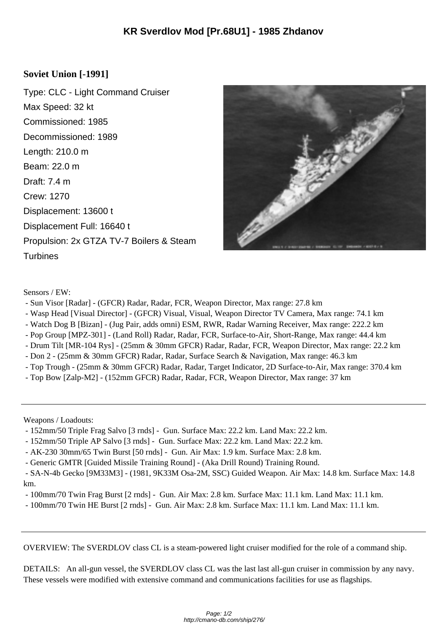## **Soviet Union [-1991]**

Type: CLC - Light Command Cruiser Max Speed: 32 kt Commissioned: 1985 Decommissioned: 1989 Length: 210.0 m Beam: 22.0 m Draft: 7.4 m Crew: 1270 Displacement: 13600 t Displacement Full: 16640 t Propulsion: 2x GTZA TV-7 Boilers & Steam **Turbines** 



Sensors / EW:

- Sun Visor [Radar] (GFCR) Radar, Radar, FCR, Weapon Director, Max range: 27.8 km
- Wasp Head [Visual Director] (GFCR) Visual, Visual, Weapon Director TV Camera, Max range: 74.1 km
- Watch Dog B [Bizan] (Jug Pair, adds omni) ESM, RWR, Radar Warning Receiver, Max range: 222.2 km
- Pop Group [MPZ-301] (Land Roll) Radar, Radar, FCR, Surface-to-Air, Short-Range, Max range: 44.4 km
- Drum Tilt [MR-104 Rys] (25mm & 30mm GFCR) Radar, Radar, FCR, Weapon Director, Max range: 22.2 km
- Don 2 (25mm & 30mm GFCR) Radar, Radar, Surface Search & Navigation, Max range: 46.3 km
- Top Trough (25mm & 30mm GFCR) Radar, Radar, Target Indicator, 2D Surface-to-Air, Max range: 370.4 km
- Top Bow [Zalp-M2] (152mm GFCR) Radar, Radar, FCR, Weapon Director, Max range: 37 km

Weapons / Loadouts:

- 152mm/50 Triple Frag Salvo [3 rnds] Gun. Surface Max: 22.2 km. Land Max: 22.2 km.
- 152mm/50 Triple AP Salvo [3 rnds] Gun. Surface Max: 22.2 km. Land Max: 22.2 km.
- AK-230 30mm/65 Twin Burst [50 rnds] Gun. Air Max: 1.9 km. Surface Max: 2.8 km.
- Generic GMTR [Guided Missile Training Round] (Aka Drill Round) Training Round.

 - SA-N-4b Gecko [9M33M3] - (1981, 9K33M Osa-2M, SSC) Guided Weapon. Air Max: 14.8 km. Surface Max: 14.8 km.

- 100mm/70 Twin Frag Burst [2 rnds] Gun. Air Max: 2.8 km. Surface Max: 11.1 km. Land Max: 11.1 km.
- 100mm/70 Twin HE Burst [2 rnds] Gun. Air Max: 2.8 km. Surface Max: 11.1 km. Land Max: 11.1 km.

OVERVIEW: The SVERDLOV class CL is a steam-powered light cruiser modified for the role of a command ship.

DETAILS: An all-gun vessel, the SVERDLOV class CL was the last last all-gun cruiser in commission by any navy. These vessels were modified with extensive command and communications facilities for use as flagships.